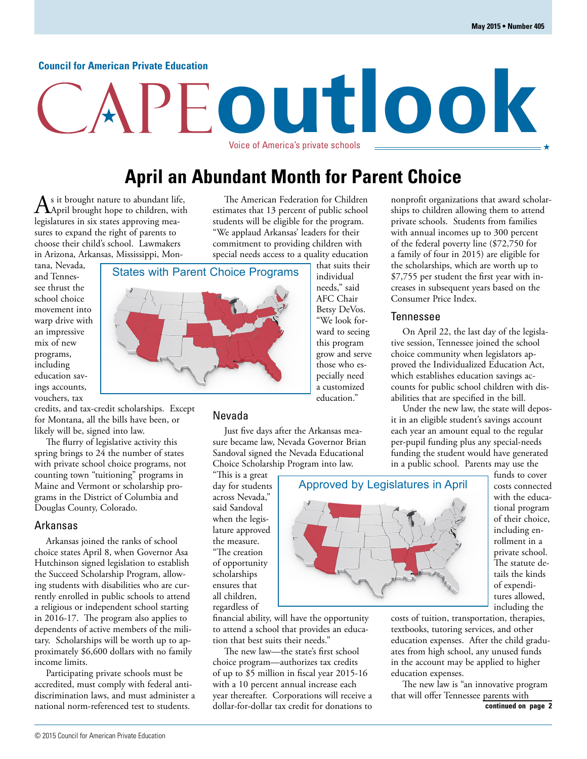#### **Council for American Private Education**

# **outlook** Voice of America's private schools

# **April an Abundant Month for Parent Choice**

 $A<sub>s</sub>$  it brought nature to abundant life,<br>April brought hope to children, with legislatures in six states approving measures to expand the right of parents to choose their child's school. Lawmakers in Arizona, Arkansas, Mississippi, Mon-

tana, Nevada, and Tennessee thrust the school choice movement into warp drive with an impressive mix of new programs, including education savings accounts, vouchers, tax

credits, and tax-credit scholarships. Except for Montana, all the bills have been, or likely will be, signed into law.

The flurry of legislative activity this spring brings to 24 the number of states with private school choice programs, not counting town "tuitioning" programs in Maine and Vermont or scholarship programs in the District of Columbia and Douglas County, Colorado.

#### Arkansas

Arkansas joined the ranks of school choice states April 8, when Governor Asa Hutchinson signed legislation to establish the Succeed Scholarship Program, allowing students with disabilities who are currently enrolled in public schools to attend a religious or independent school starting in 2016-17. The program also applies to dependents of active members of the military. Scholarships will be worth up to approximately \$6,600 dollars with no family income limits.

Participating private schools must be accredited, must comply with federal antidiscrimination laws, and must administer a national norm-referenced test to students.

The American Federation for Children estimates that 13 percent of public school students will be eligible for the program. "We applaud Arkansas' leaders for their commitment to providing children with special needs access to a quality education

States with Parent Choice Programs that suits their individual needs," said AFC Chair Betsy DeVos. "We look forward to seeing this program grow and serve those who especially need a customized education."

#### Nevada

Just five days after the Arkansas measure became law, Nevada Governor Brian Sandoval signed the Nevada Educational Choice Scholarship Program into law.

"This is a great day for students across Nevada," said Sandoval when the legislature approved the measure. "The creation of opportunity scholarships ensures that all children, regardless of

financial ability, will have the opportunity to attend a school that provides an education that best suits their needs."

The new law—the state's first school choice program—authorizes tax credits of up to \$5 million in fiscal year 2015-16 with a 10 percent annual increase each year thereafter. Corporations will receive a dollar-for-dollar tax credit for donations to



#### Tennessee

On April 22, the last day of the legislative session, Tennessee joined the school choice community when legislators approved the Individualized Education Act, which establishes education savings accounts for public school children with disabilities that are specified in the bill.

Under the new law, the state will deposit in an eligible student's savings account each year an amount equal to the regular per-pupil funding plus any special-needs funding the student would have generated in a public school. Parents may use the



funds to cover costs connected with the educational program of their choice, including enrollment in a private school. The statute details the kinds of expenditures allowed, including the

costs of tuition, transportation, therapies, textbooks, tutoring services, and other education expenses. After the child graduates from high school, any unused funds in the account may be applied to higher education expenses.

The new law is "an innovative program that will offer Tennessee parents with **continued on page 2**

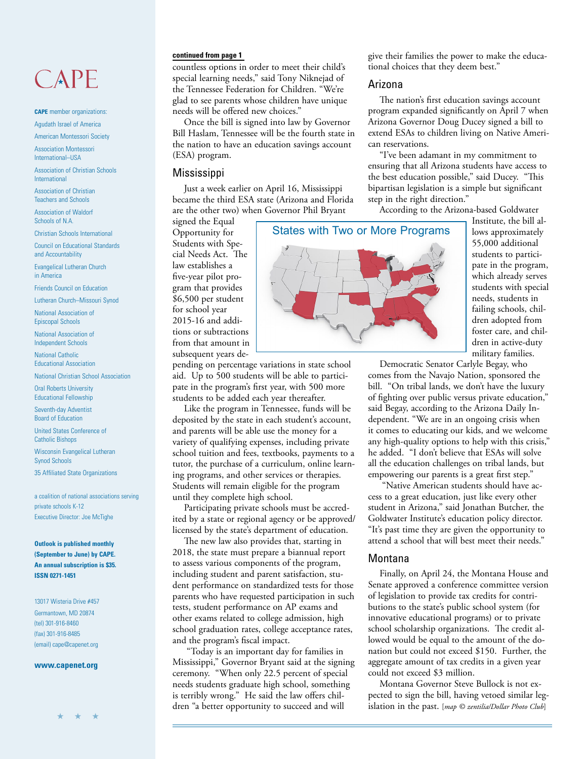# $CAPF$

**CAPE** member organizations:

Agudath Israel of America American Montessori Society

Association Montessori International–USA

Association of Christian Schools International

Association of Christian Teachers and Schools

Association of Waldorf Schools of N.A.

Christian Schools International

Council on Educational Standards and Accountability

Evangelical Lutheran Church in America

Friends Council on Education

Lutheran Church–Missouri Synod

National Association of Episcopal Schools

National Association of Independent Schools

National Catholic Educational Association

National Christian School Association

Oral Roberts University Educational Fellowship

Seventh-day Adventist Board of Education

United States Conference of Catholic Bishops

Wisconsin Evangelical Lutheran Synod Schools

35 Affiliated State Organizations

a coalition of national associations serving private schools K-12 Executive Director: Joe McTighe

**Outlook is published monthly (September to June) by CAPE. An annual subscription is \$35. ISSN 0271-1451**

13017 Wisteria Drive #457 Germantown, MD 20874 (tel) 301-916-8460 (fax) 301-916-8485 (email) cape@capenet.org

**www.capenet.org**

countless options in order to meet their child's special learning needs," said Tony Niknejad of the Tennessee Federation for Children. "We're glad to see parents whose children have unique needs will be offered new choices."

Once the bill is signed into law by Governor Bill Haslam, Tennessee will be the fourth state in the nation to have an education savings account (ESA) program.

#### Mississippi

Just a week earlier on April 16, Mississippi became the third ESA state (Arizona and Florida are the other two) when Governor Phil Bryant

**continued from page 1 continued from page 1** give their families the power to make the educational choices that they deem best."

#### Arizona

The nation's first education savings account program expanded significantly on April 7 when Arizona Governor Doug Ducey signed a bill to extend ESAs to children living on Native American reservations.

"I've been adamant in my commitment to ensuring that all Arizona students have access to the best education possible," said Ducey. "This bipartisan legislation is a simple but significant step in the right direction."

According to the Arizona-based Goldwater

signed the Equal Opportunity for Students with Special Needs Act. The law establishes a five-year pilot program that provides \$6,500 per student for school year 2015-16 and additions or subtractions from that amount in subsequent years de-

pending on percentage variations in state school aid. Up to 500 students will be able to participate in the program's first year, with 500 more students to be added each year thereafter.

Like the program in Tennessee, funds will be deposited by the state in each student's account, and parents will be able use the money for a variety of qualifying expenses, including private school tuition and fees, textbooks, payments to a tutor, the purchase of a curriculum, online learning programs, and other services or therapies. Students will remain eligible for the program until they complete high school.

Participating private schools must be accredited by a state or regional agency or be approved/ licensed by the state's department of education.

The new law also provides that, starting in 2018, the state must prepare a biannual report to assess various components of the program, including student and parent satisfaction, student performance on standardized tests for those parents who have requested participation in such tests, student performance on AP exams and other exams related to college admission, high school graduation rates, college acceptance rates, and the program's fiscal impact.

 "Today is an important day for families in Mississippi," Governor Bryant said at the signing ceremony. "When only 22.5 percent of special needs students graduate high school, something is terribly wrong." He said the law offers children "a better opportunity to succeed and will



Institute, the bill allows approximately 55,000 additional students to participate in the program, which already serves students with special needs, students in failing schools, children adopted from foster care, and children in active-duty military families.

Democratic Senator Carlyle Begay, who comes from the Navajo Nation, sponsored the bill. "On tribal lands, we don't have the luxury of fighting over public versus private education," said Begay, according to the Arizona Daily Independent. "We are in an ongoing crisis when it comes to educating our kids, and we welcome any high-quality options to help with this crisis," he added. "I don't believe that ESAs will solve all the education challenges on tribal lands, but empowering our parents is a great first step."

 "Native American students should have access to a great education, just like every other student in Arizona," said Jonathan Butcher, the Goldwater Institute's education policy director. "It's past time they are given the opportunity to attend a school that will best meet their needs."

#### Montana

Finally, on April 24, the Montana House and Senate approved a conference committee version of legislation to provide tax credits for contributions to the state's public school system (for innovative educational programs) or to private school scholarship organizations. The credit allowed would be equal to the amount of the donation but could not exceed \$150. Further, the aggregate amount of tax credits in a given year could not exceed \$3 million.

Montana Governor Steve Bullock is not expected to sign the bill, having vetoed similar legislation in the past. [*map © zentilia/Dollar Photo Club*]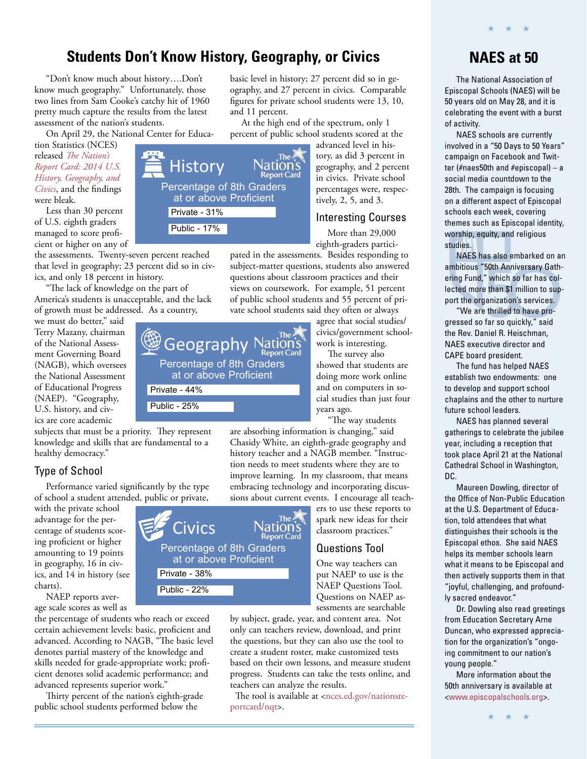## **Students Don't Know History, Geography, or Civics**

Percentage of 8th Graders at or above Proficient

**History** 

Private - 31% Public - 17%

"Don't know much about history….Don't know much geography." Unfortunately, those two lines from Sam Cooke's catchy hit of 1960 pretty much capture the results from the latest assessment of the nation's students.

On April 29, the National Center for Educa-

tion Statistics (NCES) released *The Nation's [Report Card: 2014 U.S.](http://www.nationsreportcard.gov/hgc_2014/)  History, Geography, and Civics*, and the findings were bleak.

Less than 30 percent of U.S. eighth graders managed to score proficient or higher on any of

the assessments. Twenty-seven percent reached that level in geography; 23 percent did so in civics, and only 18 percent in history.

"The lack of knowledge on the part of America's students is unacceptable, and the lack of growth must be addressed. As a country,

we must do better," said Terry Mazany, chairman of the National Assessment Governing Board (NAGB), which oversees the National Assessment of Educational Progress (NAEP). "Geography, U.S. history, and civics are core academic

subjects that must be a priority. They represent knowledge and skills that are fundamental to a healthy democracy."

Public - 25%

### Type of School

Performance varied significantly by the type of school a student attended, public or private,

with the private school advantage for the percentage of students scoring proficient or higher amounting to 19 points in geography, 16 in civics, and 14 in history (see charts).

NAEP reports average scale scores as well as

the percentage of students who reach or exceed certain achievement levels: basic, proficient and advanced. According to NAGB, "The basic level denotes partial mastery of the knowledge and skills needed for grade-appropriate work; proficient denotes solid academic performance; and advanced represents superior work."

Thirty percent of the nation's eighth-grade public school students performed below the

basic level in history; 27 percent did so in geography, and 27 percent in civics. Comparable figures for private school students were 13, 10, and 11 percent.

At the high end of the spectrum, only 1 percent of public school students scored at the

> vation's **Report Card**

advanced level in history, as did 3 percent in geography, and 2 percent in civics. Private school percentages were, respectively, 2, 5, and 3.

#### Interesting Courses

More than 29,000 eighth-graders partici-

pated in the assessments. Besides responding to subject-matter questions, students also answered questions about classroom practices and their views on coursework. For example, 51 percent of public school students and 55 percent of private school students said they often or always

agree that social studies/ civics/government schoolwork is interesting.

The survey also showed that students are doing more work online and on computers in social studies than just four years ago.

"The way students

are absorbing information is changing," said Chasidy White, an eighth-grade geography and history teacher and a NAGB member. "Instruction needs to meet students where they are to improve learning. In my classroom, that means embracing technology and incorporating discussions about current events. I encourage all teach-

ers to use these reports to spark new ideas for their classroom practices."

#### Questions Tool

One way teachers can put NAEP to use is the NAEP Questions Tool. Questions on NAEP assessments are searchable

by subject, grade, year, and content area. Not only can teachers review, download, and print the questions, but they can also use the tool to create a student roster, make customized tests based on their own lessons, and measure student progress. Students can take the tests online, and teachers can analyze the results.

The tool is available at <nces.ed.gov/nationsreportcard/nqt>.

### **NAES at 50**

★ ★ ★

The National Association of Episcopal Schools (NAES) will be 50 years old on May 28, and it is celebrating the event with a burst of activity.

NAES schools are currently involved in a "50 Days to 50 Years" campaign on Facebook and Twitter (#naes50th and #episcopal) – a social media countdown to the 28th. The campaign is focusing on a different aspect of Episcopal schools each week, covering themes such as Episcopal identity, worship, equity, and religious studies.

NAES has also embarked on an ambitious "50th Anniversary Gathering Fund," which so far has collected more than \$1 million to support the organization's services.

"We are thrilled to have progressed so far so quickly," said the Rev. Daniel R. Heischman, NAES executive director and CAPE board president.

The fund has helped NAES establish two endowments: one to develop and support school chaplains and the other to nurture future school leaders.

NAES has planned several gatherings to celebrate the jubilee year, including a reception that took place April 21 at the National Cathedral School in Washington, DC.

Maureen Dowling, director of the Office of Non-Public Education at the U.S. Department of Education, told attendees that what distinguishes their schools is the Episcopal ethos. She said NAES helps its member schools learn what it means to be Episcopal and then actively supports them in that "joyful, challenging, and profoundly sacred endeavor."

Dr. Dowling also read greetings from Education Secretary Arne Duncan, who expressed appreciation for the organization's "ongoing commitment to our nation's young people."

More information about the 50th anniversary is available at [<www.episcopalschools.org>.](http://www.episcopalschools.org)